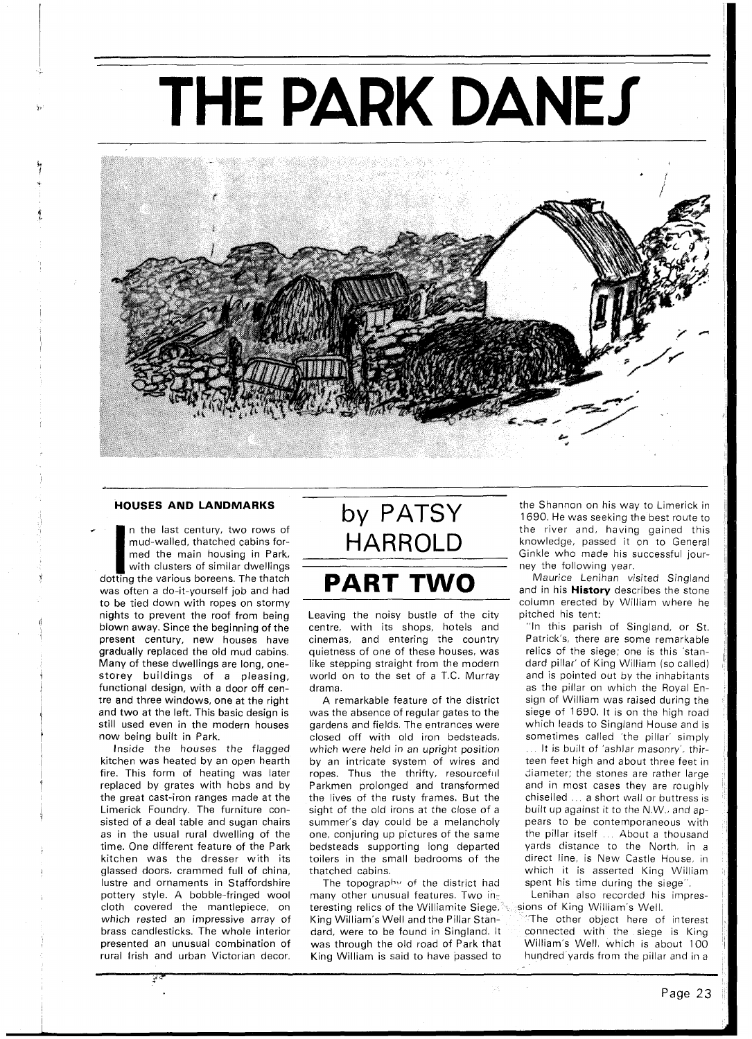## **THE PARK DANEJ**



## **HOUSES AND LANDMARKS**

In the last century, two rows of mud-walled, thatched cabins formed the main housing in Park, with clusters of similar dwellings dotting the various boreens. The thatch mud-walled, thatched cabins formed the main housing in Park, with clusters of similar dwellings was often a do-it-yourself job and had to be tied down with ropes on stormy nights to prevent the roof from being blown away. Since the beginning of the present century, new houses have gradually replaced the old mud cabins. Many of these dwellings are long, onestorey buildings of a pleasing, functional design, with a door off centre and three windows, one at the right and two at the left. This basic design is still used even in the modern houses now being built in Park.

Inside the houses the flagged kitchen was heated by an open hearth fire. This form of heating was later replaced by grates with hobs and by the great cast-iron ranges made at the Limerick Foundry. The furniture consisted of a deal table and sugan chairs as in the usual rural dwelling of the time. One different feature of the Park kitchen was the dresser with its glassed doors, crammed full of china, lustre and ornaments in Staffordshire pottery style. A bobble-fringed wool cloth covered the mantlepiece, on which rested an impressive array of brass candlesticks. The whole interior presented an unusual combination of rural Irish and urban Victorian decor.

## by PATSY HARROLD

## **PART TWO**

Leaving the noisy bustle of the city centre, with its shops, hotels and cinemas, and entering the country quietness of one of these houses, was like stepping straight from the modern world on to the set of a T.C. Murray drama.

A remarkable feature of the district was the absence of regular gates to the gardens and fields. The entrances were closed off with old iron bedsteads, which were held in an upright position by an intricate system of wires and ropes. Thus the thrifty, resourceful Parkmen prolonged and transformed the lives of the rusty frames. But the sight of the old irons at the close of a summer's day could be a melancholy one, conjuring up pictures of the same bedsteads supporting long departed toilers in the small bedrooms of the thatched cabins.

The topography of the district had many other unusual features. Two interesting relics of the Williamite Siege, $\delta$ King William's Well and the Pillar Standard, were to be found in Singland. It was through the old road of Park that King William is said to have passed to

the Shannon on his way to Limerick in 1690. He was seeking the best route to the river and, having gained this knowledge, passed it on to General Ginkle who made his successful journey the following year.

Maurice Lenihan visited Singland and in his **History** describes the stone column erected by William where he pitched his tent:

"In this parish of Singland, or St. Patrick's, there are some remarkable relics of the siege; one is this 'standard pillar' of King William (so called) and is pointed out by the inhabitants as the pillar on which the Royal Ensign of William was raised during the siege of 1690. It is on the high road which leads to Singland House and is sometimes called 'the pillar' simply ... It is built of 'ashlar masonry', thirteen feet high and about three feet in diameter; the stones are rather large and in most cases they are roughly chiselled . . . a short wall or buttress is built up against it to the N.W., and appears to be contemporaneous with the pillar itself ... About a thousand yards distance to the North, in a direct line, is New Castle House, in which it is asserted King William spent his time during the siege".

Lenihan also recorded his impressions of King William's Well.

"The other object here of interest connected with the siege is King William's Well, which is about 100 hundred yards from the pillar and in a

--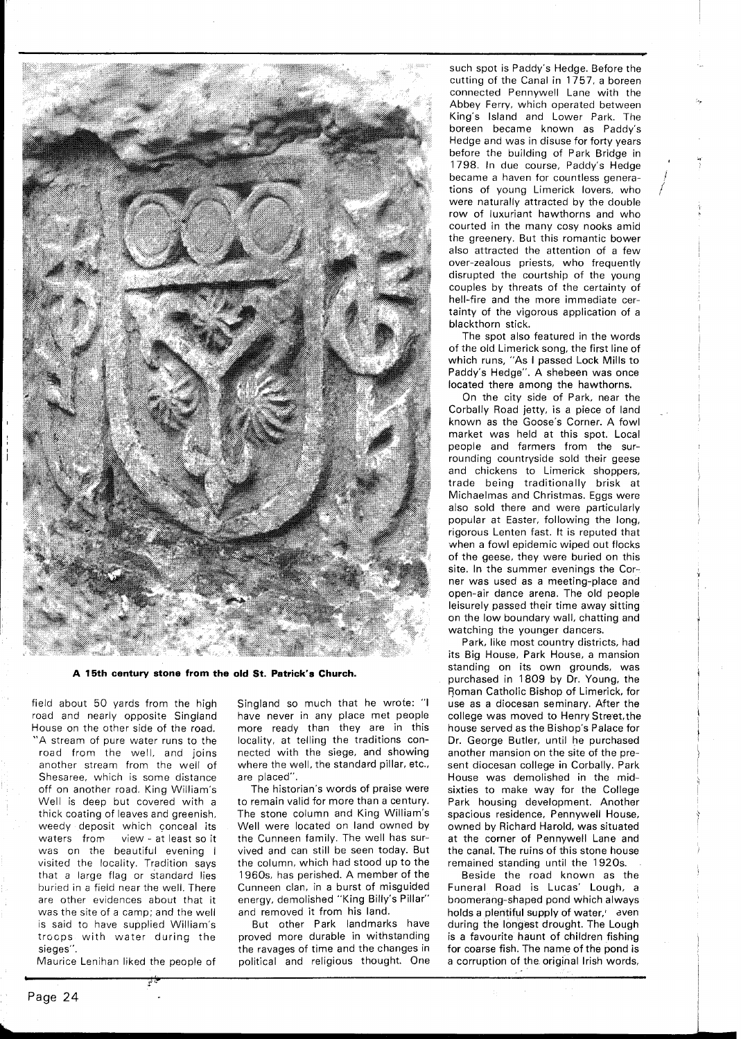

**A 15th century stone from the old St. Patrick's Church.** 

field about 50 yards from the high road and nearly opposite Singland House on the other side of the road. "A stream of pure water runs to the road from the well, and joins another stream from the well of Shesaree, which is some distance off on another road. King William's Well is deep but covered with a thick coating of leaves and greenish, weedy deposit which conceal its waters from view - at least so it was on the beautiful evening I visited the locality. Tradition says that a large flag or standard lies buried in a field near the well. There are other evidences about that it was the site of a camp; and the well is said to have supplied William's trocps with water during the sieges". **Maurice Lenihan liked the people of**<br> **Line Lenihan liked the people of** 

Singland so much that he wrote: "I have never in any place met people more ready than they are in this locality, at telling the traditions connected with the siege, and showing where the well, the standard pillar, etc., are placed".

The historian's words of praise were to remain valid for more than a century. The stone column and King William's Well were located on land owned by the Cunneen family. The well has survived and can still be seen today. But the column, which had stood up to the 1960s, has perished. A member of the Cunneen clan, in a burst of misguided energy, demolished "King Billy's Pillar" and removed it from his land.

But other Park landmarks have proved more durable in withstanding the ravages of time and the changes in political and religious thought. One

such spot is Paddy's Hedge. Before the cutting of the Canal in 1757, a boreen connected Pennywell Lane with the Abbey Ferry, which operated between King's Island and Lower Park. The boreen became known as Paddy's Hedge and was in disuse for forty years before the building of Park Bridge in 1798. In due course, Paddy's Hedge became a haven for countless generations of young Limerick lovers, who / were naturally attracted by the double row of luxuriant hawthorns and who courted in the many cosy nooks amid the greenery. But this romantic bower also attracted the attention of a few over-zealous priests, who frequently disrupted the courtship of the young couples by threats of the certainty of hell-fire and the more immediate certainty of the vigorous application of a blackthorn stick.

The spot also featured in the words of the old Limerick song, the first line of which runs, "As I passed Lock Mills to Paddy's Hedge". A shebeen was once located there among the hawthorns.

On the city side of Park, near the Corbally Road jetty, is a piece of land known as the Goose's Corner. A fowl market was held at this spot. Local people and farmers from the surrounding countryside sold their geese and chickens to Limerick shoppers, trade being traditionally brisk at Michaelmas and Christmas. Eggs were also sold there and were particularly popular at Easter, following the long, rigorous Lenten fast. It is reputed that when a fowl epidemic wiped out flocks of the geese, they were buried on this site. In the summer evenings the Corner was used as a meeting-place and open-air dance arena. The old people leisurely passed their time away sitting on the low boundary wall, chatting and watching the younger dancers.

Park, like most country districts, had its Big House, Park House, a mansion standing on its own grounds, was purchased in 1809 by Dr. Young, the Roman Catholic Bishop of Limerick, for use as a diocesan seminary. After the college was moved to Henry Street,the house served as the Bishop's Palace for Dr. George Butler, until he purchased another mansion on the site of the present diocesan college in Corbally. Park House was demolished in the midsixties to make way for the College Park housing development. Another spacious residence, Pennywell House, owned by Richard Harold, was situated at the corner of Pennywell Lane and the canal. The ruins of this stone house remained standing until the 1920s.

Beside the road known as the Funeral Road is Lucas' Lough, a boomerang-shaped pond which always holds a plentiful supply of water, even during the longest drought. The Lough is a favourite haunt of children fishing for coarse fish. The name of the pond is a corruption of the original Irish words,